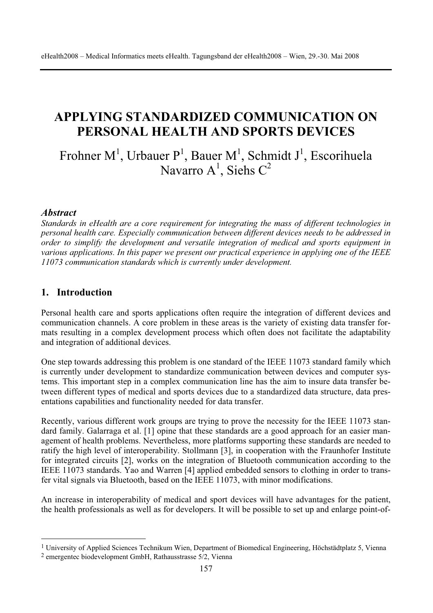# **APPLYING STANDARDIZED COMMUNICATION ON PERSONAL HEALTH AND SPORTS DEVICES**

Frohner M<sup>1</sup>, Urbauer P<sup>1</sup>, Bauer M<sup>1</sup>, Schmidt J<sup>1</sup>, Escorihuela Navarro A<sup>1</sup>, Siehs  $C^2$ 

#### *Abstract*

*Standards in eHealth are a core requirement for integrating the mass of different technologies in personal health care. Especially communication between different devices needs to be addressed in order to simplify the development and versatile integration of medical and sports equipment in various applications. In this paper we present our practical experience in applying one of the IEEE 11073 communication standards which is currently under development.*

# **1. Introduction**

Personal health care and sports applications often require the integration of different devices and communication channels. A core problem in these areas is the variety of existing data transfer formats resulting in a complex development process which often does not facilitate the adaptability and integration of additional devices.

One step towards addressing this problem is one standard of the IEEE 11073 standard family which is currently under development to standardize communication between devices and computer systems. This important step in a complex communication line has the aim to insure data transfer between different types of medical and sports devices due to a standardized data structure, data presentations capabilities and functionality needed for data transfer.

Recently, various different work groups are trying to prove the necessity for the IEEE 11073 standard family. Galarraga et al. [1] opine that these standards are a good approach for an easier management of health problems. Nevertheless, more platforms supporting these standards are needed to ratify the high level of interoperability. Stollmann [3], in cooperation with the Fraunhofer Institute for integrated circuits [2], works on the integration of Bluetooth communication according to the IEEE 11073 standards. Yao and Warren [4] applied embedded sensors to clothing in order to transfer vital signals via Bluetooth, based on the IEEE 11073, with minor modifications.

An increase in interoperability of medical and sport devices will have advantages for the patient, the health professionals as well as for developers. It will be possible to set up and enlarge point-of-

<sup>1</sup> University of Applied Sciences Technikum Wien, Department of Biomedical Engineering, Höchstädtplatz 5, Vienna

<sup>2</sup> emergentec biodevelopment GmbH, Rathausstrasse 5/2, Vienna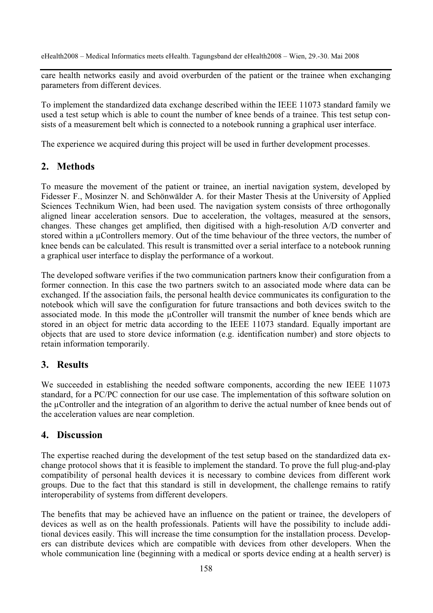eHealth2008 – Medical Informatics meets eHealth. Tagungsband der eHealth2008 – Wien, 29.-30. Mai 2008

care health networks easily and avoid overburden of the patient or the trainee when exchanging parameters from different devices.

To implement the standardized data exchange described within the IEEE 11073 standard family we used a test setup which is able to count the number of knee bends of a trainee. This test setup consists of a measurement belt which is connected to a notebook running a graphical user interface.

The experience we acquired during this project will be used in further development processes.

# **2. Methods**

To measure the movement of the patient or trainee, an inertial navigation system, developed by Fidesser F., Mosinzer N. and Schönwälder A. for their Master Thesis at the University of Applied Sciences Technikum Wien, had been used. The navigation system consists of three orthogonally aligned linear acceleration sensors. Due to acceleration, the voltages, measured at the sensors, changes. These changes get amplified, then digitised with a high-resolution A/D converter and stored within a µControllers memory. Out of the time behaviour of the three vectors, the number of knee bends can be calculated. This result is transmitted over a serial interface to a notebook running a graphical user interface to display the performance of a workout.

The developed software verifies if the two communication partners know their configuration from a former connection. In this case the two partners switch to an associated mode where data can be exchanged. If the association fails, the personal health device communicates its configuration to the notebook which will save the configuration for future transactions and both devices switch to the associated mode. In this mode the  $\mu$ Controller will transmit the number of knee bends which are stored in an object for metric data according to the IEEE 11073 standard. Equally important are objects that are used to store device information (e.g. identification number) and store objects to retain information temporarily.

# **3. Results**

We succeeded in establishing the needed software components, according the new IEEE 11073 standard, for a PC/PC connection for our use case. The implementation of this software solution on the µController and the integration of an algorithm to derive the actual number of knee bends out of the acceleration values are near completion.

## **4. Discussion**

The expertise reached during the development of the test setup based on the standardized data exchange protocol shows that it is feasible to implement the standard. To prove the full plug-and-play compatibility of personal health devices it is necessary to combine devices from different work groups. Due to the fact that this standard is still in development, the challenge remains to ratify interoperability of systems from different developers.

The benefits that may be achieved have an influence on the patient or trainee, the developers of devices as well as on the health professionals. Patients will have the possibility to include additional devices easily. This will increase the time consumption for the installation process. Developers can distribute devices which are compatible with devices from other developers. When the whole communication line (beginning with a medical or sports device ending at a health server) is